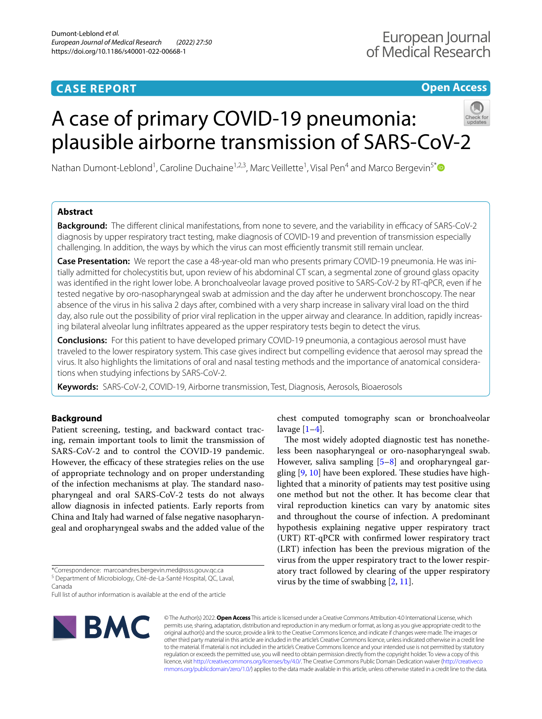# **CASE REPORT**

# **Open Access**

# A case of primary COVID‑19 pneumonia: plausible airborne transmission of SARS-CoV-2



Nathan Dumont-Leblond<sup>1</sup>, Caroline Duchaine<sup>1,2,3</sup>, Marc Veillette<sup>1</sup>, Visal Pen<sup>4</sup> and Marco Bergevin<sup>5[\\*](http://orcid.org/0000-0003-3661-8534)</sup>

# **Abstract**

**Background:** The different clinical manifestations, from none to severe, and the variability in efficacy of SARS-CoV-2 diagnosis by upper respiratory tract testing, make diagnosis of COVID-19 and prevention of transmission especially challenging. In addition, the ways by which the virus can most efficiently transmit still remain unclear.

**Case Presentation:** We report the case a 48-year-old man who presents primary COVID-19 pneumonia. He was ini‑ tially admitted for cholecystitis but, upon review of his abdominal CT scan, a segmental zone of ground glass opacity was identifed in the right lower lobe. A bronchoalveolar lavage proved positive to SARS-CoV-2 by RT-qPCR, even if he tested negative by oro-nasopharyngeal swab at admission and the day after he underwent bronchoscopy. The near absence of the virus in his saliva 2 days after, combined with a very sharp increase in salivary viral load on the third day, also rule out the possibility of prior viral replication in the upper airway and clearance. In addition, rapidly increasing bilateral alveolar lung infltrates appeared as the upper respiratory tests begin to detect the virus.

**Conclusions:** For this patient to have developed primary COVID-19 pneumonia, a contagious aerosol must have traveled to the lower respiratory system. This case gives indirect but compelling evidence that aerosol may spread the virus. It also highlights the limitations of oral and nasal testing methods and the importance of anatomical considerations when studying infections by SARS-CoV-2.

**Keywords:** SARS-CoV-2, COVID-19, Airborne transmission, Test, Diagnosis, Aerosols, Bioaerosols

# **Background**

Patient screening, testing, and backward contact tracing, remain important tools to limit the transmission of SARS-CoV-2 and to control the COVID-19 pandemic. However, the efficacy of these strategies relies on the use of appropriate technology and on proper understanding of the infection mechanisms at play. The standard nasopharyngeal and oral SARS-CoV-2 tests do not always allow diagnosis in infected patients. Early reports from China and Italy had warned of false negative nasopharyngeal and oropharyngeal swabs and the added value of the

Full list of author information is available at the end of the article



chest computed tomography scan or bronchoalveolar lavage  $[1-4]$  $[1-4]$ .

The most widely adopted diagnostic test has nonetheless been nasopharyngeal or oro-nasopharyngeal swab. However, saliva sampling [\[5](#page-4-2)[–8](#page-4-3)] and oropharyngeal gargling  $[9, 10]$  $[9, 10]$  $[9, 10]$  have been explored. These studies have highlighted that a minority of patients may test positive using one method but not the other. It has become clear that viral reproduction kinetics can vary by anatomic sites and throughout the course of infection. A predominant hypothesis explaining negative upper respiratory tract (URT) RT-qPCR with confrmed lower respiratory tract (LRT) infection has been the previous migration of the virus from the upper respiratory tract to the lower respiratory tract followed by clearing of the upper respiratory virus by the time of swabbing [[2,](#page-4-6) [11](#page-4-7)].

© The Author(s) 2022. **Open Access** This article is licensed under a Creative Commons Attribution 4.0 International License, which permits use, sharing, adaptation, distribution and reproduction in any medium or format, as long as you give appropriate credit to the original author(s) and the source, provide a link to the Creative Commons licence, and indicate if changes were made. The images or other third party material in this article are included in the article's Creative Commons licence, unless indicated otherwise in a credit line to the material. If material is not included in the article's Creative Commons licence and your intended use is not permitted by statutory regulation or exceeds the permitted use, you will need to obtain permission directly from the copyright holder. To view a copy of this licence, visit [http://creativecommons.org/licenses/by/4.0/.](http://creativecommons.org/licenses/by/4.0/) The Creative Commons Public Domain Dedication waiver ([http://creativeco](http://creativecommons.org/publicdomain/zero/1.0/) [mmons.org/publicdomain/zero/1.0/](http://creativecommons.org/publicdomain/zero/1.0/)) applies to the data made available in this article, unless otherwise stated in a credit line to the data.

<sup>\*</sup>Correspondence: marcoandres.bergevin.med@ssss.gouv.qc.ca <sup>5</sup> Department of Microbiology, Cité-de-La-Santé Hospital, QC, Laval, Canada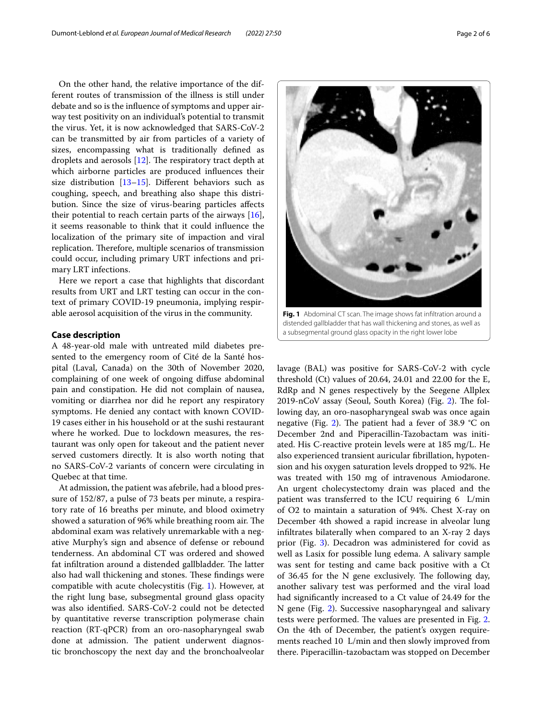On the other hand, the relative importance of the different routes of transmission of the illness is still under debate and so is the infuence of symptoms and upper airway test positivity on an individual's potential to transmit the virus. Yet, it is now acknowledged that SARS-CoV-2 can be transmitted by air from particles of a variety of sizes, encompassing what is traditionally defned as droplets and aerosols  $[12]$  $[12]$ . The respiratory tract depth at which airborne particles are produced infuences their size distribution [\[13](#page-5-1)[–15](#page-5-2)]. Diferent behaviors such as coughing, speech, and breathing also shape this distribution. Since the size of virus-bearing particles afects their potential to reach certain parts of the airways  $[16]$  $[16]$ , it seems reasonable to think that it could infuence the localization of the primary site of impaction and viral replication. Therefore, multiple scenarios of transmission could occur, including primary URT infections and primary LRT infections.

Here we report a case that highlights that discordant results from URT and LRT testing can occur in the context of primary COVID-19 pneumonia, implying respirable aerosol acquisition of the virus in the community.

#### **Case description**

A 48-year-old male with untreated mild diabetes presented to the emergency room of Cité de la Santé hospital (Laval, Canada) on the 30th of November 2020, complaining of one week of ongoing difuse abdominal pain and constipation. He did not complain of nausea, vomiting or diarrhea nor did he report any respiratory symptoms. He denied any contact with known COVID-19 cases either in his household or at the sushi restaurant where he worked. Due to lockdown measures, the restaurant was only open for takeout and the patient never served customers directly. It is also worth noting that no SARS-CoV-2 variants of concern were circulating in Quebec at that time.

At admission, the patient was afebrile, had a blood pressure of 152/87, a pulse of 73 beats per minute, a respiratory rate of 16 breaths per minute, and blood oximetry showed a saturation of 96% while breathing room air. The abdominal exam was relatively unremarkable with a negative Murphy's sign and absence of defense or rebound tenderness. An abdominal CT was ordered and showed fat infiltration around a distended gallbladder. The latter also had wall thickening and stones. These findings were compatible with acute cholecystitis (Fig. [1](#page-1-0)). However, at the right lung base, subsegmental ground glass opacity was also identifed. SARS-CoV-2 could not be detected by quantitative reverse transcription polymerase chain reaction (RT-qPCR) from an oro-nasopharyngeal swab done at admission. The patient underwent diagnostic bronchoscopy the next day and the bronchoalveolar



<span id="page-1-0"></span>distended gallbladder that has wall thickening and stones, as well as a subsegmental ground glass opacity in the right lower lobe

lavage (BAL) was positive for SARS-CoV-2 with cycle threshold (Ct) values of 20.64, 24.01 and 22.00 for the E, RdRp and N genes respectively by the Seegene Allplex 2019-nCoV assay (Seoul, South Korea) (Fig. [2\)](#page-2-0). The following day, an oro-nasopharyngeal swab was once again negative (Fig. [2](#page-2-0)). The patient had a fever of 38.9  $\degree$ C on December 2nd and Piperacillin-Tazobactam was initiated. His C-reactive protein levels were at 185 mg/L. He also experienced transient auricular fbrillation, hypotension and his oxygen saturation levels dropped to 92%. He was treated with 150 mg of intravenous Amiodarone. An urgent cholecystectomy drain was placed and the patient was transferred to the ICU requiring 6 L/min of O2 to maintain a saturation of 94%. Chest X-ray on December 4th showed a rapid increase in alveolar lung infltrates bilaterally when compared to an X-ray 2 days prior (Fig. [3\)](#page-3-0). Decadron was administered for covid as well as Lasix for possible lung edema. A salivary sample was sent for testing and came back positive with a Ct of  $36.45$  for the N gene exclusively. The following day, another salivary test was performed and the viral load had signifcantly increased to a Ct value of 24.49 for the N gene (Fig. [2](#page-2-0)). Successive nasopharyngeal and salivary tests were performed. The values are presented in Fig. [2](#page-2-0). On the 4th of December, the patient's oxygen requirements reached 10 L/min and then slowly improved from there. Piperacillin-tazobactam was stopped on December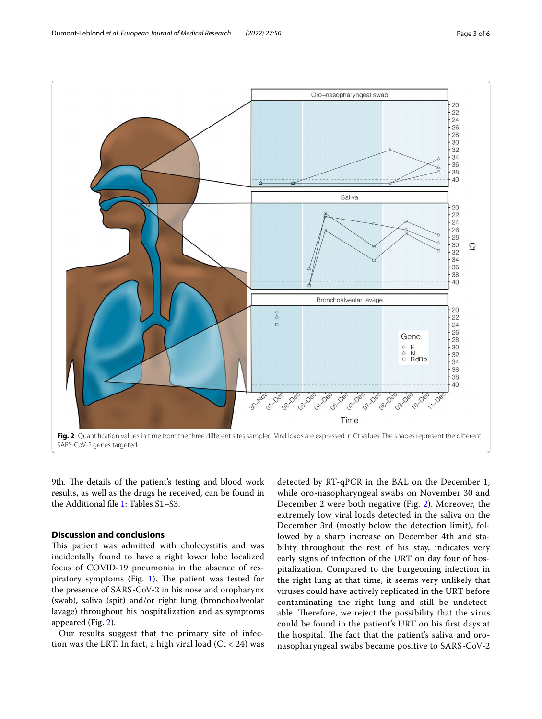

<span id="page-2-0"></span>9th. The details of the patient's testing and blood work results, as well as the drugs he received, can be found in the Additional fle [1:](#page-4-8) Tables S1–S3.

# **Discussion and conclusions**

This patient was admitted with cholecystitis and was incidentally found to have a right lower lobe localized focus of COVID-19 pneumonia in the absence of res-piratory symptoms (Fig. [1\)](#page-1-0). The patient was tested for the presence of SARS-CoV-2 in his nose and oropharynx (swab), saliva (spit) and/or right lung (bronchoalveolar lavage) throughout his hospitalization and as symptoms appeared (Fig. [2\)](#page-2-0).

Our results suggest that the primary site of infection was the LRT. In fact, a high viral load  $(Ct < 24)$  was

detected by RT-qPCR in the BAL on the December 1, while oro-nasopharyngeal swabs on November 30 and December 2 were both negative (Fig. [2](#page-2-0)). Moreover, the extremely low viral loads detected in the saliva on the December 3rd (mostly below the detection limit), followed by a sharp increase on December 4th and stability throughout the rest of his stay, indicates very early signs of infection of the URT on day four of hospitalization. Compared to the burgeoning infection in the right lung at that time, it seems very unlikely that viruses could have actively replicated in the URT before contaminating the right lung and still be undetectable. Therefore, we reject the possibility that the virus could be found in the patient's URT on his frst days at the hospital. The fact that the patient's saliva and oronasopharyngeal swabs became positive to SARS-CoV-2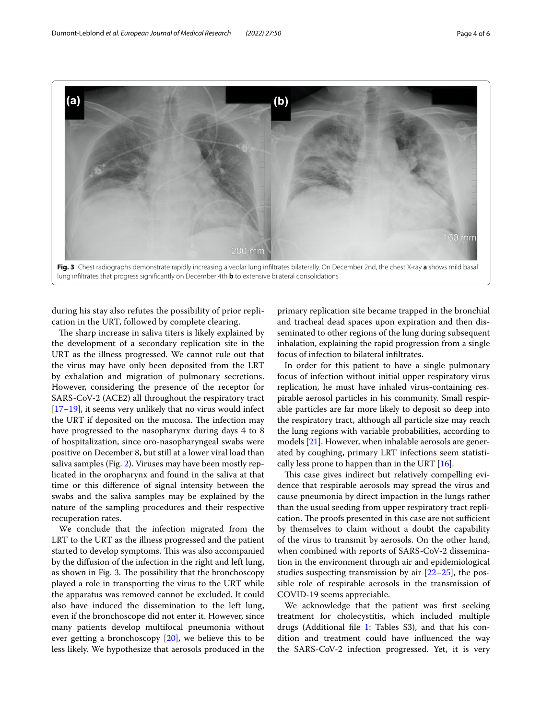

<span id="page-3-0"></span>during his stay also refutes the possibility of prior replication in the URT, followed by complete clearing.

The sharp increase in saliva titers is likely explained by the development of a secondary replication site in the URT as the illness progressed. We cannot rule out that the virus may have only been deposited from the LRT by exhalation and migration of pulmonary secretions. However, considering the presence of the receptor for SARS-CoV-2 (ACE2) all throughout the respiratory tract [[17–](#page-5-4)[19](#page-5-5)], it seems very unlikely that no virus would infect the URT if deposited on the mucosa. The infection may have progressed to the nasopharynx during days 4 to 8 of hospitalization, since oro-nasopharyngeal swabs were positive on December 8, but still at a lower viral load than saliva samples (Fig. [2](#page-2-0)). Viruses may have been mostly replicated in the oropharynx and found in the saliva at that time or this diference of signal intensity between the swabs and the saliva samples may be explained by the nature of the sampling procedures and their respective recuperation rates.

We conclude that the infection migrated from the LRT to the URT as the illness progressed and the patient started to develop symptoms. This was also accompanied by the difusion of the infection in the right and left lung, as shown in Fig.  $3$ . The possibility that the bronchoscopy played a role in transporting the virus to the URT while the apparatus was removed cannot be excluded. It could also have induced the dissemination to the left lung, even if the bronchoscope did not enter it. However, since many patients develop multifocal pneumonia without ever getting a bronchoscopy [\[20\]](#page-5-6), we believe this to be less likely. We hypothesize that aerosols produced in the

primary replication site became trapped in the bronchial and tracheal dead spaces upon expiration and then disseminated to other regions of the lung during subsequent inhalation, explaining the rapid progression from a single focus of infection to bilateral infltrates.

In order for this patient to have a single pulmonary focus of infection without initial upper respiratory virus replication, he must have inhaled virus-containing respirable aerosol particles in his community. Small respirable particles are far more likely to deposit so deep into the respiratory tract, although all particle size may reach the lung regions with variable probabilities, according to models [[21\]](#page-5-7). However, when inhalable aerosols are generated by coughing, primary LRT infections seem statistically less prone to happen than in the URT  $[16]$  $[16]$ .

This case gives indirect but relatively compelling evidence that respirable aerosols may spread the virus and cause pneumonia by direct impaction in the lungs rather than the usual seeding from upper respiratory tract replication. The proofs presented in this case are not sufficient by themselves to claim without a doubt the capability of the virus to transmit by aerosols. On the other hand, when combined with reports of SARS-CoV-2 dissemination in the environment through air and epidemiological studies suspecting transmission by air [[22–](#page-5-8)[25](#page-5-9)], the possible role of respirable aerosols in the transmission of COVID-19 seems appreciable.

We acknowledge that the patient was first seeking treatment for cholecystitis, which included multiple drugs (Additional fle [1:](#page-4-8) Tables S3), and that his condition and treatment could have infuenced the way the SARS-CoV-2 infection progressed. Yet, it is very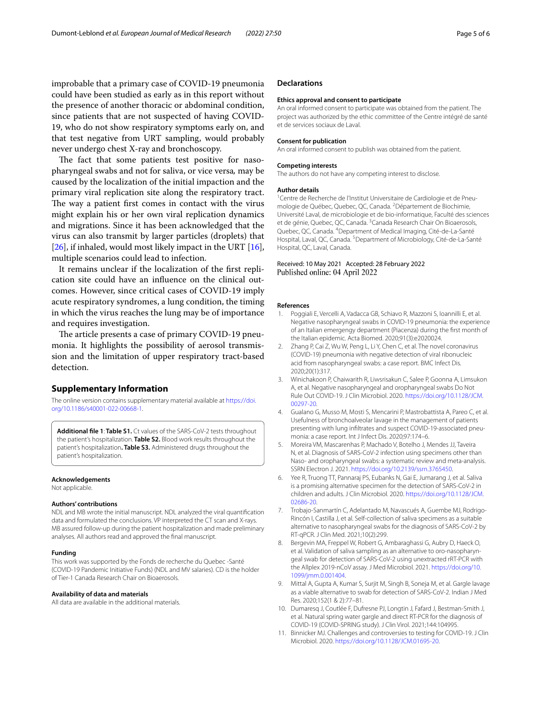improbable that a primary case of COVID-19 pneumonia could have been studied as early as in this report without the presence of another thoracic or abdominal condition, since patients that are not suspected of having COVID-19, who do not show respiratory symptoms early on, and that test negative from URT sampling, would probably never undergo chest X-ray and bronchoscopy.

The fact that some patients test positive for nasopharyngeal swabs and not for saliva, or vice versa*,* may be caused by the localization of the initial impaction and the primary viral replication site along the respiratory tract. The way a patient first comes in contact with the virus might explain his or her own viral replication dynamics and migrations. Since it has been acknowledged that the virus can also transmit by larger particles (droplets) that [[26\]](#page-5-10), if inhaled, would most likely impact in the URT [\[16](#page-5-3)], multiple scenarios could lead to infection.

It remains unclear if the localization of the frst replication site could have an infuence on the clinical outcomes. However, since critical cases of COVID-19 imply acute respiratory syndromes, a lung condition, the timing in which the virus reaches the lung may be of importance and requires investigation.

The article presents a case of primary COVID-19 pneumonia. It highlights the possibility of aerosol transmission and the limitation of upper respiratory tract-based detection.

## **Supplementary Information**

The online version contains supplementary material available at [https://doi.](https://doi.org/10.1186/s40001-022-00668-1) [org/10.1186/s40001-022-00668-1](https://doi.org/10.1186/s40001-022-00668-1).

<span id="page-4-8"></span>**Additional fle 1**: **Table S1.** Ct values of the SARS-CoV-2 tests throughout the patient's hospitalization. **Table S2.** Blood work results throughout the patient's hospitalization**. Table S3.** Administered drugs throughout the patient's hospitalization.

### **Acknowledgements**

Not applicable.

#### **Authors' contributions**

NDL and MB wrote the initial manuscript. NDL analyzed the viral quantifcation data and formulated the conclusions. VP interpreted the CT scan and X-rays. MB assured follow-up during the patient hospitalization and made preliminary analyses. All authors read and approved the fnal manuscript.

#### **Funding**

This work was supported by the Fonds de recherche du Quebec -Santé (COVID-19 Pandemic Initiative Funds) (NDL and MV salaries). CD is the holder of Tier-1 Canada Research Chair on Bioaerosols.

#### **Availability of data and materials**

All data are available in the additional materials.

#### **Declarations**

#### **Ethics approval and consent to participate**

An oral informed consent to participate was obtained from the patient. The project was authorized by the ethic committee of the Centre intégré de santé et de services sociaux de Laval.

#### **Consent for publication**

An oral informed consent to publish was obtained from the patient.

#### **Competing interests**

The authors do not have any competing interest to disclose.

#### **Author details**

<sup>1</sup> Centre de Recherche de l'Institut Universitaire de Cardiologie et de Pneumologie de Québec, Quebec, QC, Canada. <sup>2</sup> Département de Biochimie, Université Laval, de microbiologie et de bio‑informatique, Faculté des sciences et de génie, Quebec, QC, Canada. <sup>3</sup> Canada Research Chair On Bioaerosols, Quebec, QC, Canada. <sup>4</sup> Department of Medical Imaging, Cité-de-La-Santé Hospital, Laval, QC, Canada.<sup>5</sup> Department of Microbiology, Cité-de-La-Santé Hospital, QC, Laval, Canada.

#### Received: 10 May 2021 Accepted: 28 February 2022 Published online: 04 April 2022

#### **References**

- <span id="page-4-0"></span>1. Poggiali E, Vercelli A, Vadacca GB, Schiavo R, Mazzoni S, Ioannilli E, et al. Negative nasopharyngeal swabs in COVID-19 pneumonia: the experience of an Italian emergengy department (Piacenza) during the frst month of the Italian epidemic. Acta Biomed. 2020;91(3):e2020024.
- <span id="page-4-6"></span>2. Zhang P, Cai Z, Wu W, Peng L, Li Y, Chen C, et al. The novel coronavirus (COVID-19) pneumonia with negative detection of viral ribonucleic acid from nasopharyngeal swabs: a case report. BMC Infect Dis. 2020;20(1):317.
- 3. Winichakoon P, Chaiwarith R, Liwsrisakun C, Salee P, Goonna A, Limsukon A, et al. Negative nasopharyngeal and oropharyngeal swabs Do Not Rule Out COVID-19. J Clin Microbiol. 2020. [https://doi.org/10.1128/JCM.](https://doi.org/10.1128/JCM.00297-20) [00297-20.](https://doi.org/10.1128/JCM.00297-20)
- <span id="page-4-1"></span>4. Gualano G, Musso M, Mosti S, Mencarini P, Mastrobattista A, Pareo C, et al. Usefulness of bronchoalveolar lavage in the management of patients presenting with lung infiltrates and suspect COVID-19-associated pneumonia: a case report. Int J Infect Dis. 2020;97:174–6.
- <span id="page-4-2"></span>5. Moreira VM, Mascarenhas P, Machado V, Botelho J, Mendes JJ, Taveira N, et al. Diagnosis of SARS-CoV-2 infection using specimens other than Naso- and oropharyngeal swabs: a systematic review and meta-analysis. SSRN Electron J. 2021. [https://doi.org/10.2139/ssrn.3765450.](https://doi.org/10.2139/ssrn.3765450)
- 6. Yee R, Truong TT, Pannaraj PS, Eubanks N, Gai E, Jumarang J, et al. Saliva is a promising alternative specimen for the detection of SARS-CoV-2 in children and adults. J Clin Microbiol. 2020. [https://doi.org/10.1128/JCM.](https://doi.org/10.1128/JCM.02686-20) [02686-20.](https://doi.org/10.1128/JCM.02686-20)
- 7. Trobajo-Sanmartín C, Adelantado M, Navascués A, Guembe MJ, Rodrigo-Rincón I, Castilla J, et al. Self-collection of saliva specimens as a suitable alternative to nasopharyngeal swabs for the diagnosis of SARS-CoV-2 by RT-qPCR. J Clin Med. 2021;10(2):299.
- <span id="page-4-3"></span>8. Bergevin MA, Freppel W, Robert G, Ambaraghassi G, Aubry D, Haeck O, et al. Validation of saliva sampling as an alternative to oro-nasopharyngeal swab for detection of SARS-CoV-2 using unextracted rRT-PCR with the Allplex 2019-nCoV assay. J Med Microbiol. 2021. [https://doi.org/10.](https://doi.org/10.1099/jmm.0.001404) [1099/jmm.0.001404](https://doi.org/10.1099/jmm.0.001404).
- <span id="page-4-4"></span>9. Mittal A, Gupta A, Kumar S, Surjit M, Singh B, Soneja M, et al. Gargle lavage as a viable alternative to swab for detection of SARS-CoV-2. Indian J Med Res. 2020;152(1 & 2):77–81.
- <span id="page-4-5"></span>10. Dumaresq J, Coutlée F, Dufresne PJ, Longtin J, Fafard J, Bestman-Smith J, et al. Natural spring water gargle and direct RT-PCR for the diagnosis of COVID-19 (COVID-SPRING study). J Clin Virol. 2021;144:104995.
- <span id="page-4-7"></span>11. Binnicker MJ. Challenges and controversies to testing for COVID-19. J Clin Microbiol. 2020.<https://doi.org/10.1128/JCM.01695-20>.